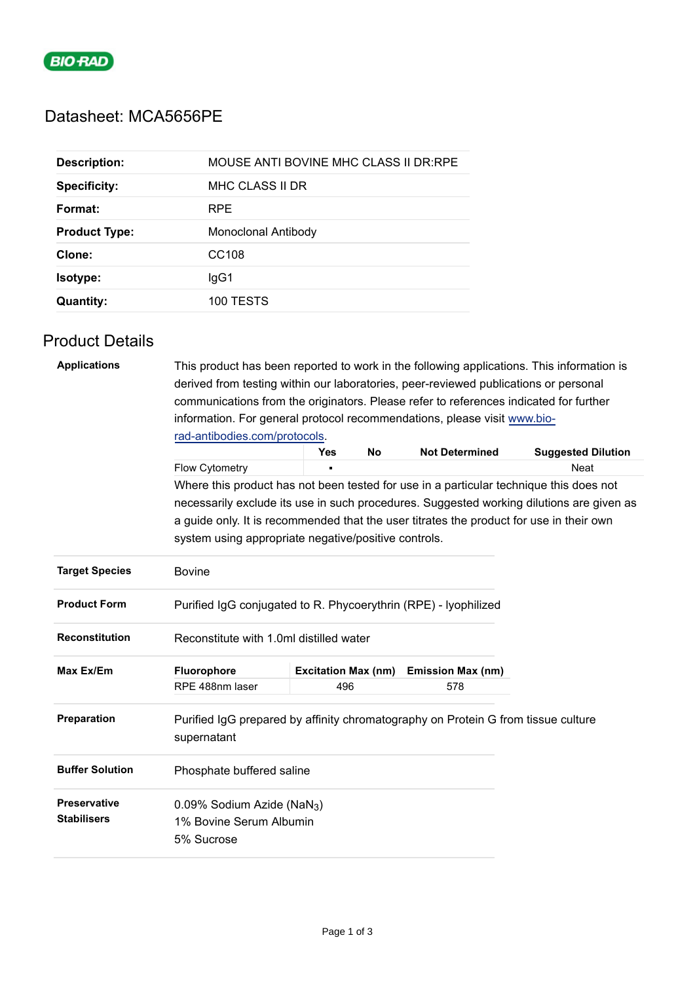

# Datasheet: MCA5656PE

| <b>Description:</b>  | MOUSE ANTI BOVINE MHC CLASS II DR:RPE |
|----------------------|---------------------------------------|
| <b>Specificity:</b>  | MHC CLASS II DR                       |
| Format:              | <b>RPE</b>                            |
| <b>Product Type:</b> | Monoclonal Antibody                   |
| Clone:               | CC <sub>108</sub>                     |
| Isotype:             | lgG1                                  |
| <b>Quantity:</b>     | 100 TESTS                             |

## Product Details

| <b>Applications</b>                       | derived from testing within our laboratories, peer-reviewed publications or personal             |                            |           |                          | This product has been reported to work in the following applications. This information is |  |
|-------------------------------------------|--------------------------------------------------------------------------------------------------|----------------------------|-----------|--------------------------|-------------------------------------------------------------------------------------------|--|
|                                           | communications from the originators. Please refer to references indicated for further            |                            |           |                          |                                                                                           |  |
|                                           | information. For general protocol recommendations, please visit www.bio-                         |                            |           |                          |                                                                                           |  |
|                                           | rad-antibodies.com/protocols.                                                                    |                            |           |                          |                                                                                           |  |
|                                           |                                                                                                  | <b>Yes</b>                 | <b>No</b> | <b>Not Determined</b>    | <b>Suggested Dilution</b>                                                                 |  |
|                                           | Flow Cytometry                                                                                   | n.                         |           |                          | <b>Neat</b>                                                                               |  |
|                                           | Where this product has not been tested for use in a particular technique this does not           |                            |           |                          |                                                                                           |  |
|                                           | necessarily exclude its use in such procedures. Suggested working dilutions are given as         |                            |           |                          |                                                                                           |  |
|                                           | a guide only. It is recommended that the user titrates the product for use in their own          |                            |           |                          |                                                                                           |  |
|                                           | system using appropriate negative/positive controls.                                             |                            |           |                          |                                                                                           |  |
| <b>Target Species</b>                     | <b>Bovine</b>                                                                                    |                            |           |                          |                                                                                           |  |
| <b>Product Form</b>                       | Purified IgG conjugated to R. Phycoerythrin (RPE) - Iyophilized                                  |                            |           |                          |                                                                                           |  |
| <b>Reconstitution</b>                     | Reconstitute with 1.0ml distilled water                                                          |                            |           |                          |                                                                                           |  |
| Max Ex/Em                                 | Fluorophore                                                                                      | <b>Excitation Max (nm)</b> |           | <b>Emission Max (nm)</b> |                                                                                           |  |
|                                           | RPE 488nm laser                                                                                  | 496                        |           | 578                      |                                                                                           |  |
| Preparation                               | Purified IgG prepared by affinity chromatography on Protein G from tissue culture<br>supernatant |                            |           |                          |                                                                                           |  |
| <b>Buffer Solution</b>                    | Phosphate buffered saline                                                                        |                            |           |                          |                                                                                           |  |
| <b>Preservative</b><br><b>Stabilisers</b> | 0.09% Sodium Azide (NaN <sub>3</sub> )<br>1% Bovine Serum Albumin<br>5% Sucrose                  |                            |           |                          |                                                                                           |  |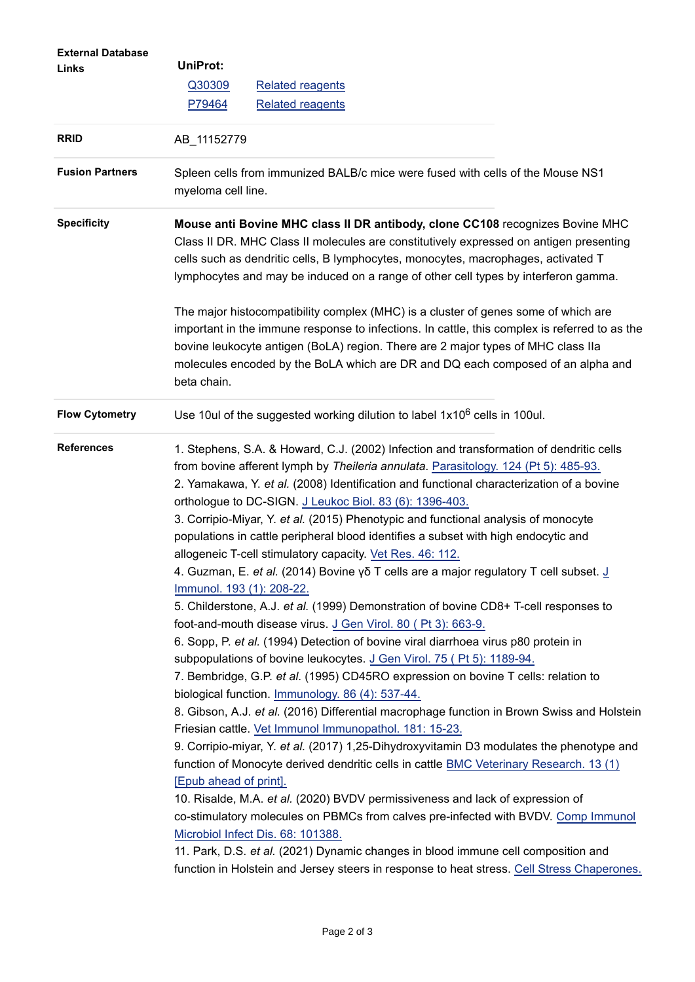| <b>External Database</b><br>Links | <b>UniProt:</b><br>Q30309<br>P79464                                                                                                                                                                                                                                                                                                                                                                                                                                                                                                                                                                                                                                                                                                                                                                                                                                                                                                                                                                                                                                                                                                                                                                                                                                                                                                                                                                                                                                                                                                                                                                                                                                                                                                                                                                                                                                                                                                                             | <b>Related reagents</b><br><b>Related reagents</b>                                                                                                                                                                                                                                                                                                         |  |  |  |
|-----------------------------------|-----------------------------------------------------------------------------------------------------------------------------------------------------------------------------------------------------------------------------------------------------------------------------------------------------------------------------------------------------------------------------------------------------------------------------------------------------------------------------------------------------------------------------------------------------------------------------------------------------------------------------------------------------------------------------------------------------------------------------------------------------------------------------------------------------------------------------------------------------------------------------------------------------------------------------------------------------------------------------------------------------------------------------------------------------------------------------------------------------------------------------------------------------------------------------------------------------------------------------------------------------------------------------------------------------------------------------------------------------------------------------------------------------------------------------------------------------------------------------------------------------------------------------------------------------------------------------------------------------------------------------------------------------------------------------------------------------------------------------------------------------------------------------------------------------------------------------------------------------------------------------------------------------------------------------------------------------------------|------------------------------------------------------------------------------------------------------------------------------------------------------------------------------------------------------------------------------------------------------------------------------------------------------------------------------------------------------------|--|--|--|
| <b>RRID</b>                       | AB_11152779                                                                                                                                                                                                                                                                                                                                                                                                                                                                                                                                                                                                                                                                                                                                                                                                                                                                                                                                                                                                                                                                                                                                                                                                                                                                                                                                                                                                                                                                                                                                                                                                                                                                                                                                                                                                                                                                                                                                                     |                                                                                                                                                                                                                                                                                                                                                            |  |  |  |
| <b>Fusion Partners</b>            | Spleen cells from immunized BALB/c mice were fused with cells of the Mouse NS1<br>myeloma cell line.                                                                                                                                                                                                                                                                                                                                                                                                                                                                                                                                                                                                                                                                                                                                                                                                                                                                                                                                                                                                                                                                                                                                                                                                                                                                                                                                                                                                                                                                                                                                                                                                                                                                                                                                                                                                                                                            |                                                                                                                                                                                                                                                                                                                                                            |  |  |  |
| <b>Specificity</b>                | Mouse anti Bovine MHC class II DR antibody, clone CC108 recognizes Bovine MHC<br>Class II DR. MHC Class II molecules are constitutively expressed on antigen presenting<br>cells such as dendritic cells, B lymphocytes, monocytes, macrophages, activated T<br>lymphocytes and may be induced on a range of other cell types by interferon gamma.                                                                                                                                                                                                                                                                                                                                                                                                                                                                                                                                                                                                                                                                                                                                                                                                                                                                                                                                                                                                                                                                                                                                                                                                                                                                                                                                                                                                                                                                                                                                                                                                              |                                                                                                                                                                                                                                                                                                                                                            |  |  |  |
|                                   | beta chain.                                                                                                                                                                                                                                                                                                                                                                                                                                                                                                                                                                                                                                                                                                                                                                                                                                                                                                                                                                                                                                                                                                                                                                                                                                                                                                                                                                                                                                                                                                                                                                                                                                                                                                                                                                                                                                                                                                                                                     | The major histocompatibility complex (MHC) is a cluster of genes some of which are<br>important in the immune response to infections. In cattle, this complex is referred to as the<br>bovine leukocyte antigen (BoLA) region. There are 2 major types of MHC class Ila<br>molecules encoded by the BoLA which are DR and DQ each composed of an alpha and |  |  |  |
| <b>Flow Cytometry</b>             |                                                                                                                                                                                                                                                                                                                                                                                                                                                                                                                                                                                                                                                                                                                                                                                                                                                                                                                                                                                                                                                                                                                                                                                                                                                                                                                                                                                                                                                                                                                                                                                                                                                                                                                                                                                                                                                                                                                                                                 | Use 10ul of the suggested working dilution to label 1x10 <sup>6</sup> cells in 100ul.                                                                                                                                                                                                                                                                      |  |  |  |
| <b>References</b>                 | 1. Stephens, S.A. & Howard, C.J. (2002) Infection and transformation of dendritic cells<br>from bovine afferent lymph by Theileria annulata. Parasitology. 124 (Pt 5): 485-93.<br>2. Yamakawa, Y. et al. (2008) Identification and functional characterization of a bovine<br>orthologue to DC-SIGN. J Leukoc Biol. 83 (6): 1396-403.<br>3. Corripio-Miyar, Y. et al. (2015) Phenotypic and functional analysis of monocyte<br>populations in cattle peripheral blood identifies a subset with high endocytic and<br>allogeneic T-cell stimulatory capacity. Vet Res. 46: 112.<br>4. Guzman, E. <i>et al.</i> (2014) Bovine $\gamma \delta$ T cells are a major regulatory T cell subset. J<br>Immunol. 193 (1): 208-22.<br>5. Childerstone, A.J. et al. (1999) Demonstration of bovine CD8+ T-cell responses to<br>foot-and-mouth disease virus. J Gen Virol. 80 (Pt 3): 663-9.<br>6. Sopp, P. et al. (1994) Detection of bovine viral diarrhoea virus p80 protein in<br>subpopulations of bovine leukocytes. J Gen Virol. 75 (Pt 5): 1189-94.<br>7. Bembridge, G.P. et al. (1995) CD45RO expression on bovine T cells: relation to<br>biological function. Immunology. 86 (4): 537-44.<br>8. Gibson, A.J. et al. (2016) Differential macrophage function in Brown Swiss and Holstein<br>Friesian cattle. Vet Immunol Immunopathol. 181: 15-23.<br>9. Corripio-miyar, Y. et al. (2017) 1,25-Dihydroxyvitamin D3 modulates the phenotype and<br>function of Monocyte derived dendritic cells in cattle BMC Veterinary Research. 13 (1)<br>[Epub ahead of print].<br>10. Risalde, M.A. et al. (2020) BVDV permissiveness and lack of expression of<br>co-stimulatory molecules on PBMCs from calves pre-infected with BVDV. Comp Immunol<br>Microbiol Infect Dis. 68: 101388.<br>11. Park, D.S. et al. (2021) Dynamic changes in blood immune cell composition and<br>function in Holstein and Jersey steers in response to heat stress. Cell Stress Chaperones. |                                                                                                                                                                                                                                                                                                                                                            |  |  |  |